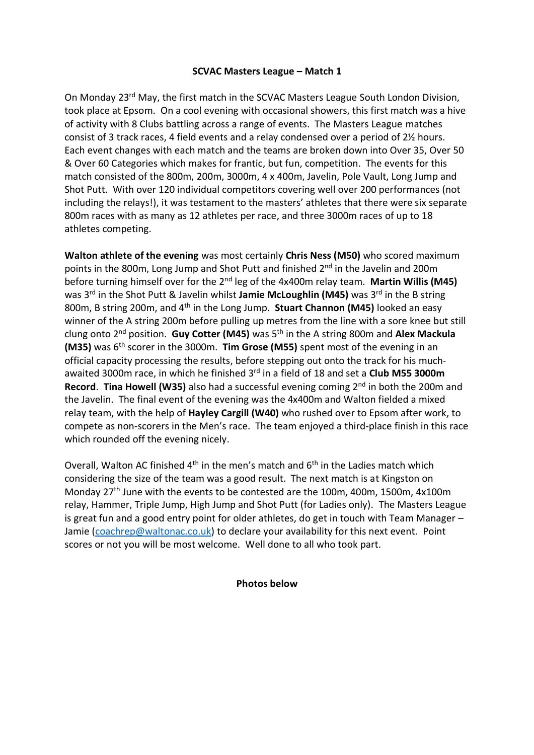## **SCVAC Masters League – Match 1**

On Monday 23rd May, the first match in the SCVAC Masters League South London Division, took place at Epsom. On a cool evening with occasional showers, this first match was a hive of activity with 8 Clubs battling across a range of events. The Masters League matches consist of 3 track races, 4 field events and a relay condensed over a period of 2½ hours. Each event changes with each match and the teams are broken down into Over 35, Over 50 & Over 60 Categories which makes for frantic, but fun, competition. The events for this match consisted of the 800m, 200m, 3000m, 4 x 400m, Javelin, Pole Vault, Long Jump and Shot Putt. With over 120 individual competitors covering well over 200 performances (not including the relays!), it was testament to the masters' athletes that there were six separate 800m races with as many as 12 athletes per race, and three 3000m races of up to 18 athletes competing.

**Walton athlete of the evening** was most certainly **Chris Ness (M50)** who scored maximum points in the 800m, Long Jump and Shot Putt and finished 2<sup>nd</sup> in the Javelin and 200m before turning himself over for the 2nd leg of the 4x400m relay team. **Martin Willis (M45)** was 3<sup>rd</sup> in the Shot Putt & Javelin whilst **Jamie McLoughlin (M45)** was 3<sup>rd</sup> in the B string 800m, B string 200m, and 4th in the Long Jump. **Stuart Channon (M45)** looked an easy winner of the A string 200m before pulling up metres from the line with a sore knee but still clung onto 2nd position. **Guy Cotter (M45)** was 5th in the A string 800m and **Alex Mackula (M35)** was 6th scorer in the 3000m. **Tim Grose (M55)** spent most of the evening in an official capacity processing the results, before stepping out onto the track for his muchawaited 3000m race, in which he finished 3rd in a field of 18 and set a **Club M55 3000m Record**. **Tina Howell (W35)** also had a successful evening coming 2nd in both the 200m and the Javelin. The final event of the evening was the 4x400m and Walton fielded a mixed relay team, with the help of **Hayley Cargill (W40)** who rushed over to Epsom after work, to compete as non-scorers in the Men's race. The team enjoyed a third-place finish in this race which rounded off the evening nicely.

Overall, Walton AC finished  $4<sup>th</sup>$  in the men's match and  $6<sup>th</sup>$  in the Ladies match which considering the size of the team was a good result. The next match is at Kingston on Monday 27th June with the events to be contested are the 100m, 400m, 1500m, 4x100m relay, Hammer, Triple Jump, High Jump and Shot Putt (for Ladies only). The Masters League is great fun and a good entry point for older athletes, do get in touch with Team Manager – Jamie [\(coachrep@waltonac.co.uk\)](mailto:coachrep@waltonac.co.uk) to declare your availability for this next event. Point scores or not you will be most welcome. Well done to all who took part.

## **Photos below**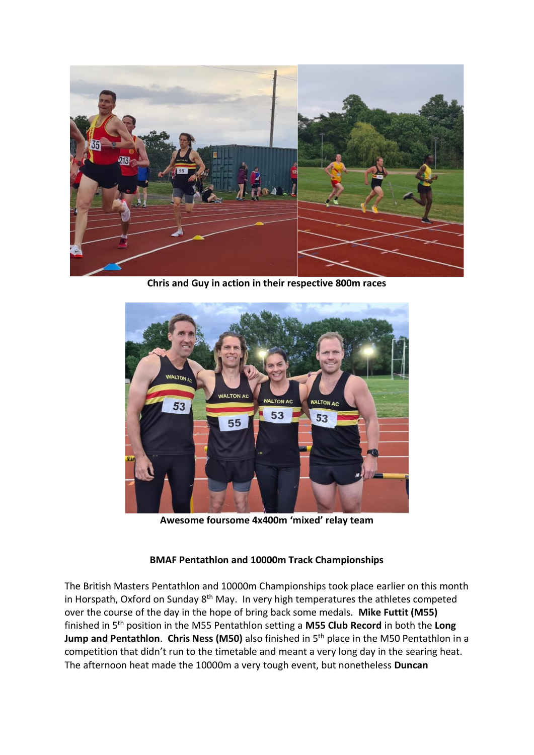

**Chris and Guy in action in their respective 800m races**



**Awesome foursome 4x400m 'mixed' relay team**

## **BMAF Pentathlon and 10000m Track Championships**

The British Masters Pentathlon and 10000m Championships took place earlier on this month in Horspath, Oxford on Sunday  $8<sup>th</sup>$  May. In very high temperatures the athletes competed over the course of the day in the hope of bring back some medals. **Mike Futtit (M55)** finished in 5th position in the M55 Pentathlon setting a **M55 Club Record** in both the **Long Jump and Pentathlon**. **Chris Ness (M50)** also finished in 5th place in the M50 Pentathlon in a competition that didn't run to the timetable and meant a very long day in the searing heat. The afternoon heat made the 10000m a very tough event, but nonetheless **Duncan**